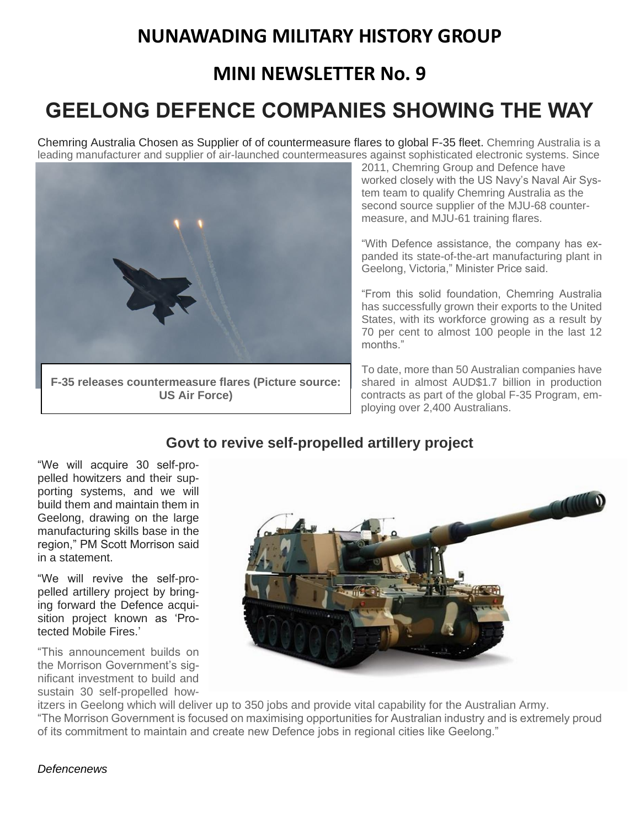## **NUNAWADING MILITARY HISTORY GROUP**

### **MINI NEWSLETTER No. 9**

# **GEELONG DEFENCE COMPANIES SHOWING THE WAY**

Chemring Australia Chosen as Supplier of of countermeasure flares to global F-35 fleet. Chemring Australia is a leading manufacturer and supplier of air-launched countermeasures against sophisticated electronic systems. Since



2011, Chemring Group and Defence have worked closely with the US Navy's Naval Air System team to qualify Chemring Australia as the second source supplier of the MJU-68 countermeasure, and MJU-61 training flares.

"With Defence assistance, the company has expanded its state-of-the-art manufacturing plant in Geelong, Victoria," Minister Price said.

"From this solid foundation, Chemring Australia has successfully grown their exports to the United States, with its workforce growing as a result by 70 per cent to almost 100 people in the last 12 months."

To date, more than 50 Australian companies have shared in almost AUD\$1.7 billion in production contracts as part of the global F-35 Program, employing over 2,400 Australians.

### **Govt to revive self-propelled artillery project**

"We will acquire 30 self-propelled howitzers and their supporting systems, and we will build them and maintain them in Geelong, drawing on the large manufacturing skills base in the region," PM Scott Morrison said in a statement.

"We will revive the self-propelled artillery project by bringing forward the Defence acquisition project known as 'Protected Mobile Fires<sup>'</sup>

"This announcement builds on the Morrison Government's significant investment to build and sustain 30 self-propelled how-



itzers in Geelong which will deliver up to 350 jobs and provide vital capability for the Australian Army. "The Morrison Government is focused on maximising opportunities for Australian industry and is extremely proud of its commitment to maintain and create new Defence jobs in regional cities like Geelong."

#### *Defencenews*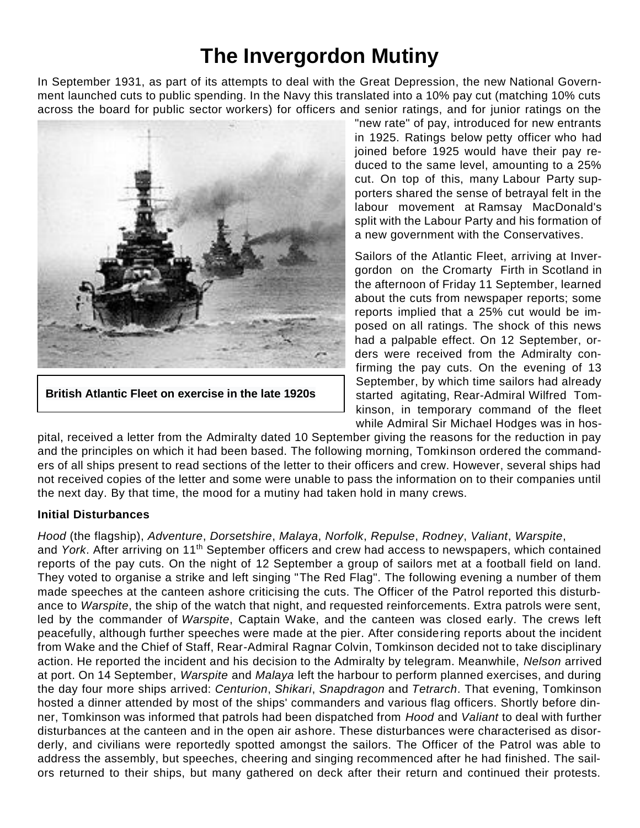## **The Invergordon Mutiny**

In September 1931, as part of its attempts to deal with the [Great Depression,](https://en.wikipedia.org/wiki/Great_Depression_in_the_United_Kingdom) the new [National Govern](https://en.wikipedia.org/wiki/National_Government_(United_Kingdom))[ment](https://en.wikipedia.org/wiki/National_Government_(United_Kingdom)) launched cuts to public spending. In the Navy this translated into a 10% pay cut (matching 10% cuts across the board for [public sector](https://en.wikipedia.org/wiki/Public_sector) workers) for officers and senior ratings, and for junior ratings on the



**[British Atlantic Fleet](https://en.wikipedia.org/wiki/Atlantic_Fleet_(United_Kingdom)) on exercise in the late 1920s**

"new rate" of pay, introduced for new entrants in 1925. Ratings below [petty officer](https://en.wikipedia.org/wiki/Petty_officer) who had joined before 1925 would have their pay reduced to the same level, amounting to a 25% cut. On top of this, many [Labour Party](https://en.wikipedia.org/wiki/Labour_Party_(UK)) supporters shared the sense of betrayal felt in the labour movement at [Ramsay MacDonald'](https://en.wikipedia.org/wiki/Ramsay_MacDonald)s split with the Labour Party and his formation of a new government with the [Conservatives.](https://en.wikipedia.org/wiki/Conservative_Party_(UK))

Sailors of the Atlantic Fleet, arriving at Invergordon on the [Cromarty Firth](https://en.wikipedia.org/wiki/Cromarty_Firth) in [Scotland](https://en.wikipedia.org/wiki/Scotland) in the afternoon of Friday 11 September, learned about the cuts from newspaper reports; some reports implied that a 25% cut would be imposed on all ratings. The shock of this news had a palpable effect. On 12 September, orders were received from the Admiralty confirming the pay cuts. On the evening of 13 September, by which time sailors had already started agitating, [Rear-Admiral](https://en.wikipedia.org/wiki/Rear_Admiral_(Royal_Navy)) [Wilfred Tom](https://en.wikipedia.org/wiki/Wilfred_Tomkinson)[kinson,](https://en.wikipedia.org/wiki/Wilfred_Tomkinson) in temporary command of the fleet while [Admiral](https://en.wikipedia.org/wiki/Admiral_(United_Kingdom)) Sir [Michael Hodges](https://en.wikipedia.org/wiki/Michael_Hodges_(Royal_Navy_officer)) was in hos-

pital, received a letter from the [Admiralty](https://en.wikipedia.org/wiki/Admiralty) dated 10 September giving the reasons for the reduction in pay and the principles on which it had been based. The following morning, Tomkinson ordered the commanders of all ships present to read sections of the letter to their officers and crew. However, several ships had not received copies of the letter and some were unable to pass the information on to their companies until the next day. By that time, the mood for a mutiny had taken hold in many crews.

#### **Initial Disturbances**

*[Hood](https://en.wikipedia.org/wiki/HMS_Hood_(51))* (the [flagship\)](https://en.wikipedia.org/wiki/Flagship), *[Adventure](https://en.wikipedia.org/wiki/HMS_Adventure_(M23))*, *[Dorsetshire](https://en.wikipedia.org/wiki/HMS_Dorsetshire_(40))*, *[Malaya](https://en.wikipedia.org/wiki/HMS_Malaya)*, *[Norfolk](https://en.wikipedia.org/wiki/HMS_Norfolk_(78))*, *[Repulse](https://en.wikipedia.org/wiki/HMS_Repulse_(1916))*, *[Rodney](https://en.wikipedia.org/wiki/HMS_Rodney_(29))*, *[Valiant](https://en.wikipedia.org/wiki/HMS_Valiant_(1914))*, *[Warspite](https://en.wikipedia.org/wiki/HMS_Warspite_(03))*,

and *[York](https://en.wikipedia.org/wiki/HMS_York_(90))*. After arriving on 11th September officers and crew had access to newspapers, which contained reports of the pay cuts. On the night of 12 September a group of sailors met at a football field on land. They voted to organise a strike and left singing ["The Red Flag"](https://en.wikipedia.org/wiki/The_Red_Flag). The following evening a number of them made speeches at the canteen ashore criticising the cuts. The Officer of the Patrol reported this disturbance to *Warspite*, the ship of the watch that night, and requested reinforcements. Extra patrols were sent, led by the commander of *Warspite*, Captain Wake, and the canteen was closed early. The crews left peacefully, although further speeches were made at the pier. After considering reports about the incident from Wake and the Chief of Staff, Rear-Admiral [Ragnar Colvin,](https://en.wikipedia.org/wiki/Ragnar_Colvin) Tomkinson decided not to take disciplinary action. He reported the incident and his decision to the Admiralty by telegram. Meanwhile, *[Nelson](https://en.wikipedia.org/wiki/HMS_Nelson_(28))* arrived at port. On 14 September, *Warspite* and *Malaya* left the harbour to perform planned exercises, and during the day four more ships arrived: *[Centurion](https://en.wikipedia.org/wiki/HMS_Centurion_(1911))*, *[Shikari](https://en.wikipedia.org/wiki/HMS_Shikari_(1919))*, *[Snapdragon](https://en.wikipedia.org/wiki/Arabis_class_sloop#Ships)* and *[Tetrarch](https://en.wikipedia.org/wiki/R_class_destroyer_(1916)#Admiralty_R-class_ships)*. That evening, Tomkinson hosted a dinner attended by most of the ships' commanders and various flag officers. Shortly before dinner, Tomkinson was informed that patrols had been dispatched from *Hood* and *Valiant* to deal with further disturbances at the canteen and in the open air ashore. These disturbances were characterised as disorderly, and civilians were reportedly spotted amongst the sailors. The Officer of the Patrol was able to address the assembly, but speeches, cheering and singing recommenced after he had finished. The sailors returned to their ships, but many gathered on deck after their return and continued their protests.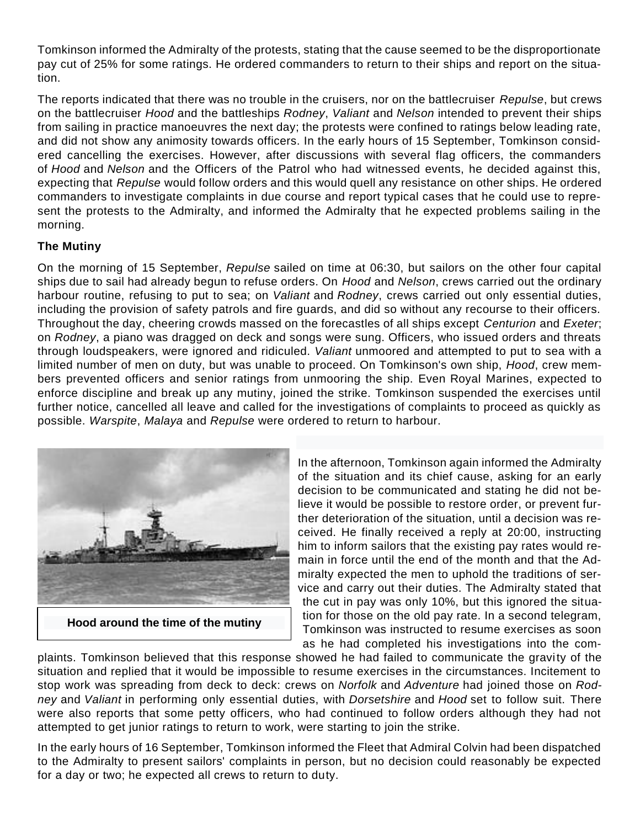Tomkinson informed the Admiralty of the protests, stating that the cause seemed to be the disproportionate pay cut of 25% for some ratings. He ordered commanders to return to their ships and report on the situation.

The reports indicated that there was no trouble in the cruisers, nor on the battlecruiser *Repulse*, but crews on the battlecruiser *Hood* and the battleships *Rodney*, *Valiant* and *Nelson* intended to prevent their ships from sailing in practice manoeuvres the next day; the protests were confined to ratings below leading rate, and did not show any animosity towards officers. In the early hours of 15 September, Tomkinson considered cancelling the exercises. However, after discussions with several flag officers, the commanders of *Hood* and *Nelson* and the Officers of the Patrol who had witnessed events, he decided against this, expecting that *Repulse* would follow orders and this would quell any resistance on other ships. He ordered commanders to investigate complaints in due course and report typical cases that he could use to represent the protests to the Admiralty, and informed the Admiralty that he expected problems sailing in the morning.

#### **The Mutiny**

On the morning of 15 September, *Repulse* sailed on time at 06:30, but sailors on the other four capital ships due to sail had already begun to refuse orders. On *Hood* and *Nelson*, crews carried out the ordinary harbour routine, refusing to put to sea; on *Valiant* and *Rodney*, crews carried out only essential duties, including the provision of safety patrols and fire guards, and did so without any recourse to their officers. Throughout the day, cheering crowds massed on the forecastles of all ships except *Centurion* and *Exeter*; on *Rodney*, a piano was dragged on deck and songs were sung. Officers, who issued orders and threats through loudspeakers, were ignored and ridiculed. *Valiant* unmoored and attempted to put to sea with a limited number of men on duty, but was unable to proceed. On Tomkinson's own ship, *Hood*, crew members prevented officers and senior ratings from unmooring the ship. Even [Royal Marines,](https://en.wikipedia.org/wiki/Royal_Marines) expected to enforce discipline and break up any mutiny, joined the strike. Tomkinson suspended the exercises until further notice, cancelled all leave and called for the investigations of complaints to proceed as quickly as possible. *Warspite*, *Malaya* and *Repulse* were ordered to return to harbour.



**[Hood](https://en.wikipedia.org/wiki/HMS_Hood_(51)) around the time of the mutiny**

In the afternoon, Tomkinson again informed the Admiralty of the situation and its chief cause, asking for an early decision to be communicated and stating he did not believe it would be possible to restore order, or prevent further deterioration of the situation, until a decision was received. He finally received a reply at 20:00, instructing him to inform sailors that the existing pay rates would remain in force until the end of the month and that the Admiralty expected the men to uphold the traditions of service and carry out their duties. The Admiralty stated that the cut in pay was only 10%, but this ignored the situation for those on the old pay rate. In a second telegram, Tomkinson was instructed to resume exercises as soon as he had completed his investigations into the com-

plaints. Tomkinson believed that this response showed he had failed to communicate the gravity of the situation and replied that it would be impossible to resume exercises in the circumstances. Incitement to stop work was spreading from deck to deck: crews on *Norfolk* and *Adventure* had joined those on *Rodney* and *Valiant* in performing only essential duties, with *Dorsetshire* and *Hood* set to follow suit. There were also reports that some petty officers, who had continued to follow orders although they had not attempted to get junior ratings to return to work, were starting to join the strike.

In the early hours of 16 September, Tomkinson informed the Fleet that Admiral Colvin had been dispatched to the Admiralty to present sailors' complaints in person, but no decision could reasonably be expected for a day or two; he expected all crews to return to duty.